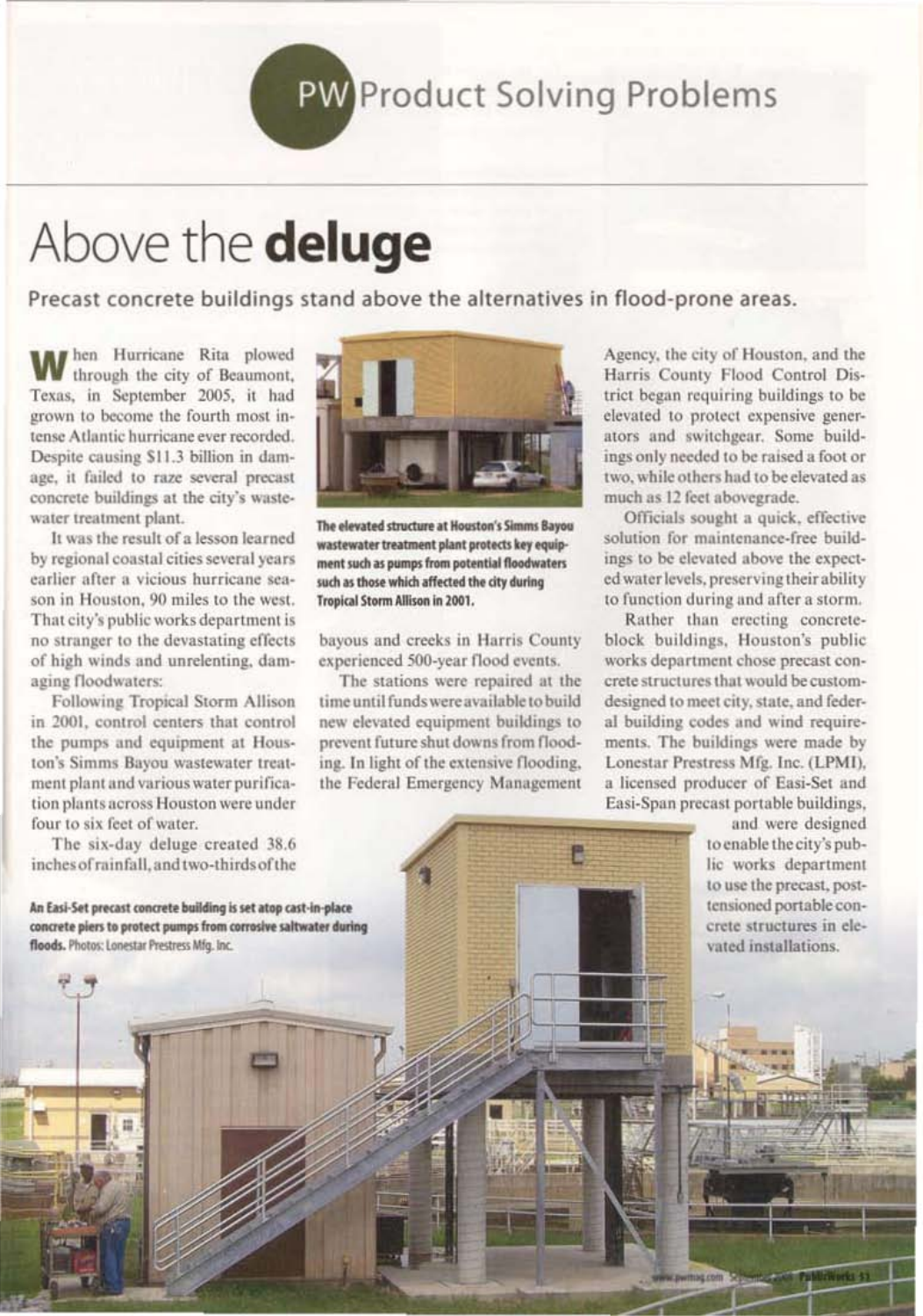## **PW** Product Solving Problems

## Above the deluge

Precast concrete buildings stand above the alternatives in flood-prone areas.

hen Hurricane Rita plowed through the city of Beaumont, Texas, in September 2005, it had grown to become the fourth most intense Atlantic hurricane ever recorded. Despite causing \$11.3 billion in damage, it failed to raze several precast concrete buildings at the city's wastewater treatment plant.

It was the result of a lesson learned by regional coastal cities several years earlier after a vicious hurricane season in Houston, 90 miles to the west. That city's public works department is no stranger to the devastating effects of high winds and unrelenting, damaging floodwaters:

Following Tropical Storm Allison in 2001, control centers that control the pumps and equipment at Houston's Simms Bayou wastewater treatment plant and various water purification plants across Houston were under four to six feet of water.

The six-day deluge created 38.6 inches of rainfall, and two-thirds of the

An Easi-Set precast concrete building is set atop cast-in-place concrete piers to protect pumps from corrosive saltwater during floods. Photos: Lonestar Prestress Mfg. Inc.



The elevated structure at Houston's Simms Bayou wastewater treatment plant protects key equipment such as pumps from potential floodwaters such as those which affected the city during **Tropical Storm Allison in 2001.** 

bayous and creeks in Harris County experienced 500-year flood events.

The stations were repaired at the time until funds were available to build new elevated equipment buildings to prevent future shut downs from flooding. In light of the extensive flooding, the Federal Emergency Management Agency, the city of Houston, and the Harris County Flood Control District began requiring buildings to be elevated to protect expensive generators and switchgear. Some buildings only needed to be raised a foot or two, while others had to be elevated as much as 12 feet abovegrade.

Officials sought a quick, effective solution for maintenance-free buildings to be elevated above the expected water levels, preserving their ability to function during and after a storm.

Rather than erecting concreteblock buildings, Houston's public works department chose precast concrete structures that would be customdesigned to meet city, state, and federal building codes and wind requirements. The buildings were made by Lonestar Prestress Mfg. Inc. (LPMI). a licensed producer of Easi-Set and Easi-Span precast portable buildings,

> and were designed to enable the city's public works department to use the precast, posttensioned portable concrete structures in elevated installations.